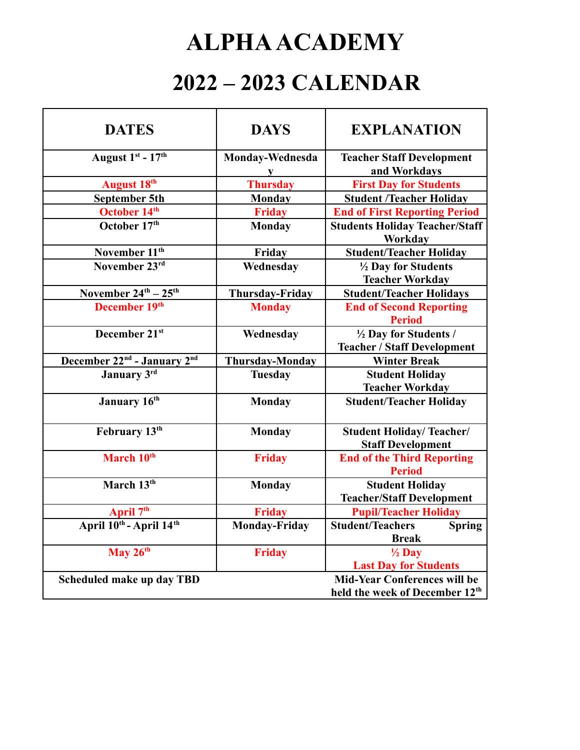## **ALPHAACADEMY**

## **2022 – 2023 CALENDAR**

| <b>DAYS</b>            | <b>EXPLANATION</b>                                                                               |
|------------------------|--------------------------------------------------------------------------------------------------|
| Monday-Wednesda        | <b>Teacher Staff Development</b>                                                                 |
|                        | and Workdays                                                                                     |
|                        | <b>First Day for Students</b>                                                                    |
|                        | <b>Student /Teacher Holiday</b>                                                                  |
|                        | <b>End of First Reporting Period</b>                                                             |
| <b>Monday</b>          | <b>Students Holiday Teacher/Staff</b><br>Workday                                                 |
| Friday                 | <b>Student/Teacher Holiday</b>                                                                   |
| Wednesday              | 1/2 Day for Students                                                                             |
|                        | <b>Teacher Workday</b>                                                                           |
| <b>Thursday-Friday</b> | <b>Student/Teacher Holidays</b>                                                                  |
| <b>Monday</b>          | <b>End of Second Reporting</b>                                                                   |
|                        | <b>Period</b>                                                                                    |
| Wednesday              | 1/2 Day for Students /                                                                           |
|                        | <b>Teacher / Staff Development</b>                                                               |
| <b>Thursday-Monday</b> | <b>Winter Break</b>                                                                              |
| <b>Tuesday</b>         | <b>Student Holiday</b>                                                                           |
|                        | <b>Teacher Workday</b>                                                                           |
| <b>Monday</b>          | <b>Student/Teacher Holiday</b>                                                                   |
| <b>Monday</b>          | <b>Student Holiday/Teacher/</b><br><b>Staff Development</b>                                      |
| <b>Friday</b>          | <b>End of the Third Reporting</b><br><b>Period</b>                                               |
|                        | <b>Student Holiday</b>                                                                           |
|                        | <b>Teacher/Staff Development</b>                                                                 |
| <b>Friday</b>          | <b>Pupil/Teacher Holiday</b>                                                                     |
|                        | <b>Student/Teachers</b><br><b>Spring</b>                                                         |
|                        | <b>Break</b>                                                                                     |
| <b>Friday</b>          | $\frac{1}{2}$ Day                                                                                |
|                        | <b>Last Day for Students</b>                                                                     |
|                        | <b>Mid-Year Conferences will be</b>                                                              |
|                        | held the week of December 12 <sup>th</sup>                                                       |
|                        | ${\bf V}$<br><b>Thursday</b><br><b>Monday</b><br><b>Friday</b><br><b>Monday</b><br>Monday-Friday |